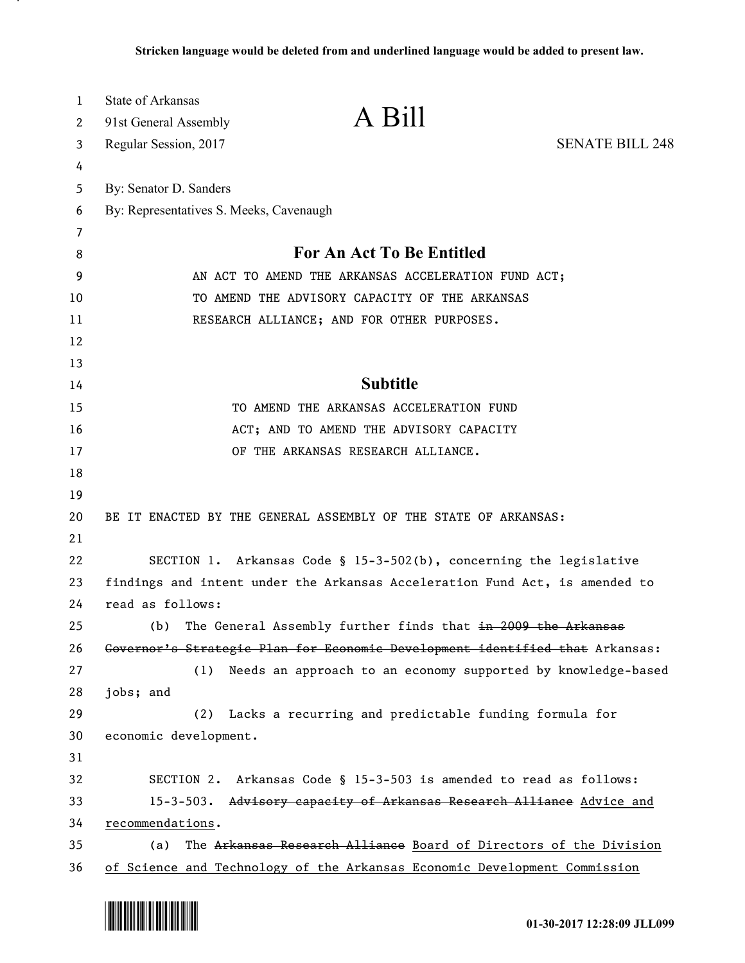| $\mathbf{1}$<br>2 | State of Arkansas                                                            | A Bill                                                            |                        |
|-------------------|------------------------------------------------------------------------------|-------------------------------------------------------------------|------------------------|
|                   | 91st General Assembly                                                        |                                                                   | <b>SENATE BILL 248</b> |
| 3<br>4            | Regular Session, 2017                                                        |                                                                   |                        |
| 5                 | By: Senator D. Sanders                                                       |                                                                   |                        |
| 6                 | By: Representatives S. Meeks, Cavenaugh                                      |                                                                   |                        |
| 7                 |                                                                              |                                                                   |                        |
| 8                 |                                                                              | For An Act To Be Entitled                                         |                        |
| 9                 | AN ACT TO AMEND THE ARKANSAS ACCELERATION FUND ACT;                          |                                                                   |                        |
| 10                | TO AMEND THE ADVISORY CAPACITY OF THE ARKANSAS                               |                                                                   |                        |
| 11                | RESEARCH ALLIANCE; AND FOR OTHER PURPOSES.                                   |                                                                   |                        |
| 12                |                                                                              |                                                                   |                        |
| 13                |                                                                              |                                                                   |                        |
| 14                |                                                                              | <b>Subtitle</b>                                                   |                        |
| 15                |                                                                              | TO AMEND THE ARKANSAS ACCELERATION FUND                           |                        |
| 16                |                                                                              | ACT; AND TO AMEND THE ADVISORY CAPACITY                           |                        |
| 17                |                                                                              | OF THE ARKANSAS RESEARCH ALLIANCE.                                |                        |
| 18                |                                                                              |                                                                   |                        |
| 19                |                                                                              |                                                                   |                        |
| 20                | BE IT ENACTED BY THE GENERAL ASSEMBLY OF THE STATE OF ARKANSAS:              |                                                                   |                        |
| 21                |                                                                              |                                                                   |                        |
| 22                | SECTION 1. Arkansas Code § 15-3-502(b), concerning the legislative           |                                                                   |                        |
| 23                | findings and intent under the Arkansas Acceleration Fund Act, is amended to  |                                                                   |                        |
| 24                | read as follows:                                                             |                                                                   |                        |
| 25                | (b)                                                                          | The General Assembly further finds that in 2009 the Arkansas      |                        |
| 26                | Governor's Strategie Plan for Economic Development identified that Arkansas: |                                                                   |                        |
| 27                | (1)                                                                          | Needs an approach to an economy supported by knowledge-based      |                        |
| 28                | jobs; and                                                                    |                                                                   |                        |
| 29                | (2)                                                                          | Lacks a recurring and predictable funding formula for             |                        |
| 30                | economic development.                                                        |                                                                   |                        |
| 31                |                                                                              |                                                                   |                        |
| 32                | SECTION 2. Arkansas Code § 15-3-503 is amended to read as follows:           |                                                                   |                        |
| 33                | 15-3-503. Advisory capacity of Arkansas Research Alliance Advice and         |                                                                   |                        |
| 34                | recommendations.                                                             |                                                                   |                        |
| 35                | (a)                                                                          | The Arkansas Research Alliance Board of Directors of the Division |                        |
| 36                | of Science and Technology of the Arkansas Economic Development Commission    |                                                                   |                        |



.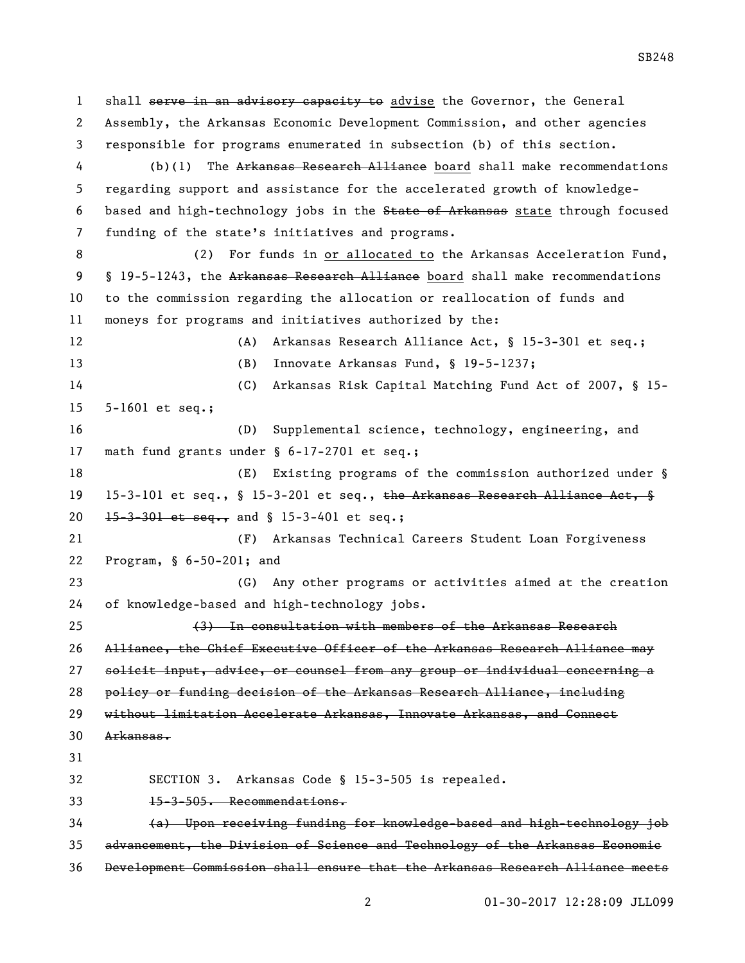1 shall serve in an advisory capacity to advise the Governor, the General Assembly, the Arkansas Economic Development Commission, and other agencies responsible for programs enumerated in subsection (b) of this section. 4 (b)(1) The Arkansas Research Alliance board shall make recommendations regarding support and assistance for the accelerated growth of knowledge-6 based and high-technology jobs in the State of Arkansas state through focused funding of the state's initiatives and programs. 8 (2) For funds in <u>or allocated to</u> the Arkansas Acceleration Fund, 9 § 19-5-1243, the Arkansas Research Alliance board shall make recommendations to the commission regarding the allocation or reallocation of funds and moneys for programs and initiatives authorized by the: (A) Arkansas Research Alliance Act, § 15-3-301 et seq.; (B) Innovate Arkansas Fund, § 19-5-1237; (C) Arkansas Risk Capital Matching Fund Act of 2007, § 15- 5-1601 et seq.; (D) Supplemental science, technology, engineering, and math fund grants under § 6-17-2701 et seq.; 18 (E) Existing programs of the commission authorized under § 19 15-3-101 et seq., § 15-3-201 et seq., the Arkansas Research Alliance Act, § 20 15-3-301 et seq., and § 15-3-401 et seq.; (F) Arkansas Technical Careers Student Loan Forgiveness Program, § 6-50-201; and (G) Any other programs or activities aimed at the creation of knowledge-based and high-technology jobs. (3) In consultation with members of the Arkansas Research Alliance, the Chief Executive Officer of the Arkansas Research Alliance may solicit input, advice, or counsel from any group or individual concerning a policy or funding decision of the Arkansas Research Alliance, including without limitation Accelerate Arkansas, Innovate Arkansas, and Connect Arkansas. SECTION 3. Arkansas Code § 15-3-505 is repealed. 15-3-505. Recommendations. (a) Upon receiving funding for knowledge-based and high-technology job advancement, the Division of Science and Technology of the Arkansas Economic Development Commission shall ensure that the Arkansas Research Alliance meets

01-30-2017 12:28:09 JLL099